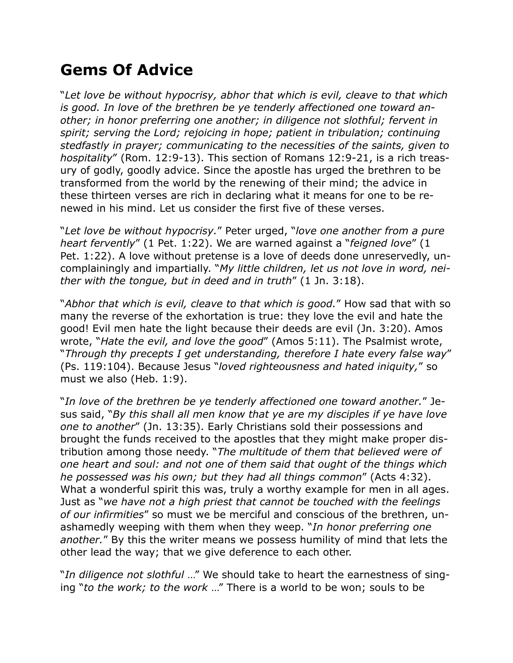## **Gems Of Advice**

"*Let love be without hypocrisy, abhor that which is evil, cleave to that which is good. In love of the brethren be ye tenderly affectioned one toward another; in honor preferring one another; in diligence not slothful; fervent in spirit; serving the Lord; rejoicing in hope; patient in tribulation; continuing stedfastly in prayer; communicating to the necessities of the saints, given to hospitality*" (Rom. 12:9-13). This section of Romans 12:9-21, is a rich treasury of godly, goodly advice. Since the apostle has urged the brethren to be transformed from the world by the renewing of their mind; the advice in these thirteen verses are rich in declaring what it means for one to be renewed in his mind. Let us consider the first five of these verses.

"*Let love be without hypocrisy.*" Peter urged, "*love one another from a pure heart fervently*" (1 Pet. 1:22). We are warned against a "*feigned love*" (1 Pet. 1:22). A love without pretense is a love of deeds done unreservedly, uncomplainingly and impartially. "*My little children, let us not love in word, neither with the tongue, but in deed and in truth*" (1 Jn. 3:18).

"*Abhor that which is evil, cleave to that which is good.*" How sad that with so many the reverse of the exhortation is true: they love the evil and hate the good! Evil men hate the light because their deeds are evil (Jn. 3:20). Amos wrote, "*Hate the evil, and love the good*" (Amos 5:11). The Psalmist wrote, "*Through thy precepts I get understanding, therefore I hate every false way*" (Ps. 119:104). Because Jesus "*loved righteousness and hated iniquity,*" so must we also (Heb. 1:9).

"*In love of the brethren be ye tenderly affectioned one toward another.*" Jesus said, "*By this shall all men know that ye are my disciples if ye have love one to another*" (Jn. 13:35). Early Christians sold their possessions and brought the funds received to the apostles that they might make proper distribution among those needy. "*The multitude of them that believed were of one heart and soul: and not one of them said that ought of the things which he possessed was his own; but they had all things common*" (Acts 4:32). What a wonderful spirit this was, truly a worthy example for men in all ages. Just as "*we have not a high priest that cannot be touched with the feelings of our infirmities*" so must we be merciful and conscious of the brethren, unashamedly weeping with them when they weep. "*In honor preferring one another.*" By this the writer means we possess humility of mind that lets the other lead the way; that we give deference to each other.

"*In diligence not slothful* …" We should take to heart the earnestness of singing "*to the work; to the work* …" There is a world to be won; souls to be